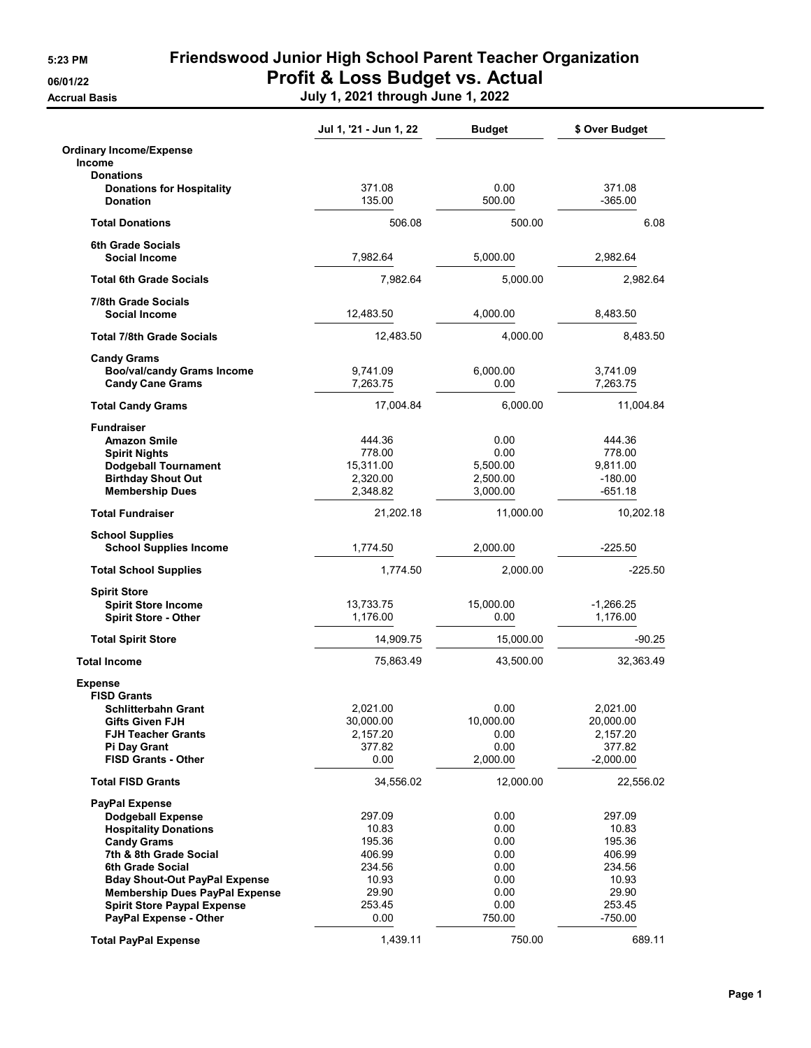## 5:23 PM Friendswood Junior High School Parent Teacher Organization 06/01/22 **Profit & Loss Budget vs. Actual**

Accrual Basis July 1, 2021 through June 1, 2022

|                                                                                                                                                                                                                                                                                                        | Jul 1, '21 - Jun 1, 22                                                            | <b>Budget</b>                                                          | \$ Over Budget                                                                       |
|--------------------------------------------------------------------------------------------------------------------------------------------------------------------------------------------------------------------------------------------------------------------------------------------------------|-----------------------------------------------------------------------------------|------------------------------------------------------------------------|--------------------------------------------------------------------------------------|
| <b>Ordinary Income/Expense</b><br><b>Income</b>                                                                                                                                                                                                                                                        |                                                                                   |                                                                        |                                                                                      |
| <b>Donations</b><br><b>Donations for Hospitality</b><br><b>Donation</b>                                                                                                                                                                                                                                | 371.08<br>135.00                                                                  | 0.00<br>500.00                                                         | 371.08<br>$-365.00$                                                                  |
| <b>Total Donations</b>                                                                                                                                                                                                                                                                                 | 506.08                                                                            | 500.00                                                                 | 6.08                                                                                 |
| <b>6th Grade Socials</b><br><b>Social Income</b>                                                                                                                                                                                                                                                       | 7,982.64                                                                          | 5,000.00                                                               | 2,982.64                                                                             |
| <b>Total 6th Grade Socials</b>                                                                                                                                                                                                                                                                         | 7,982.64                                                                          | 5,000.00                                                               | 2,982.64                                                                             |
| 7/8th Grade Socials<br><b>Social Income</b>                                                                                                                                                                                                                                                            | 12,483.50                                                                         | 4,000.00                                                               | 8,483.50                                                                             |
| <b>Total 7/8th Grade Socials</b>                                                                                                                                                                                                                                                                       | 12,483.50                                                                         | 4,000.00                                                               | 8,483.50                                                                             |
| <b>Candy Grams</b><br><b>Boo/val/candy Grams Income</b><br><b>Candy Cane Grams</b>                                                                                                                                                                                                                     | 9,741.09<br>7,263.75                                                              | 6,000.00<br>0.00                                                       | 3,741.09<br>7,263.75                                                                 |
| <b>Total Candy Grams</b>                                                                                                                                                                                                                                                                               | 17,004.84                                                                         | 6,000.00                                                               | 11,004.84                                                                            |
| <b>Fundraiser</b><br><b>Amazon Smile</b><br><b>Spirit Nights</b><br><b>Dodgeball Tournament</b><br><b>Birthday Shout Out</b><br><b>Membership Dues</b>                                                                                                                                                 | 444.36<br>778.00<br>15,311.00<br>2,320.00<br>2,348.82                             | 0.00<br>0.00<br>5,500.00<br>2,500.00<br>3,000.00                       | 444.36<br>778.00<br>9,811.00<br>$-180.00$<br>$-651.18$                               |
| <b>Total Fundraiser</b>                                                                                                                                                                                                                                                                                | 21,202.18                                                                         | 11,000.00                                                              | 10,202.18                                                                            |
| <b>School Supplies</b><br><b>School Supplies Income</b>                                                                                                                                                                                                                                                | 1,774.50                                                                          | 2,000.00                                                               | $-225.50$                                                                            |
| <b>Total School Supplies</b>                                                                                                                                                                                                                                                                           | 1,774.50                                                                          | 2,000.00                                                               | $-225.50$                                                                            |
| <b>Spirit Store</b><br><b>Spirit Store Income</b><br><b>Spirit Store - Other</b>                                                                                                                                                                                                                       | 13,733.75<br>1,176.00                                                             | 15,000.00<br>0.00                                                      | $-1,266.25$<br>1,176.00                                                              |
| <b>Total Spirit Store</b>                                                                                                                                                                                                                                                                              | 14,909.75                                                                         | 15,000.00                                                              | $-90.25$                                                                             |
| <b>Total Income</b>                                                                                                                                                                                                                                                                                    | 75,863.49                                                                         | 43,500.00                                                              | 32,363.49                                                                            |
| <b>Expense</b><br><b>FISD Grants</b><br><b>Schlitterbahn Grant</b><br><b>Gifts Given FJH</b><br><b>FJH Teacher Grants</b><br>Pi Day Grant<br><b>FISD Grants - Other</b>                                                                                                                                | 2,021.00<br>30,000.00<br>2,157.20<br>377.82<br>0.00                               | 0.00<br>10,000.00<br>0.00<br>0.00<br>2,000.00                          | 2,021.00<br>20,000.00<br>2,157.20<br>377.82<br>$-2,000.00$                           |
| <b>Total FISD Grants</b>                                                                                                                                                                                                                                                                               | 34,556.02                                                                         | 12,000.00                                                              | 22,556.02                                                                            |
| <b>PayPal Expense</b><br><b>Dodgeball Expense</b><br><b>Hospitality Donations</b><br><b>Candy Grams</b><br>7th & 8th Grade Social<br>6th Grade Social<br><b>Bday Shout-Out PayPal Expense</b><br><b>Membership Dues PayPal Expense</b><br><b>Spirit Store Paypal Expense</b><br>PayPal Expense - Other | 297.09<br>10.83<br>195.36<br>406.99<br>234.56<br>10.93<br>29.90<br>253.45<br>0.00 | 0.00<br>0.00<br>0.00<br>0.00<br>0.00<br>0.00<br>0.00<br>0.00<br>750.00 | 297.09<br>10.83<br>195.36<br>406.99<br>234.56<br>10.93<br>29.90<br>253.45<br>-750.00 |
| <b>Total PayPal Expense</b>                                                                                                                                                                                                                                                                            | 1,439.11                                                                          | 750.00                                                                 | 689.11                                                                               |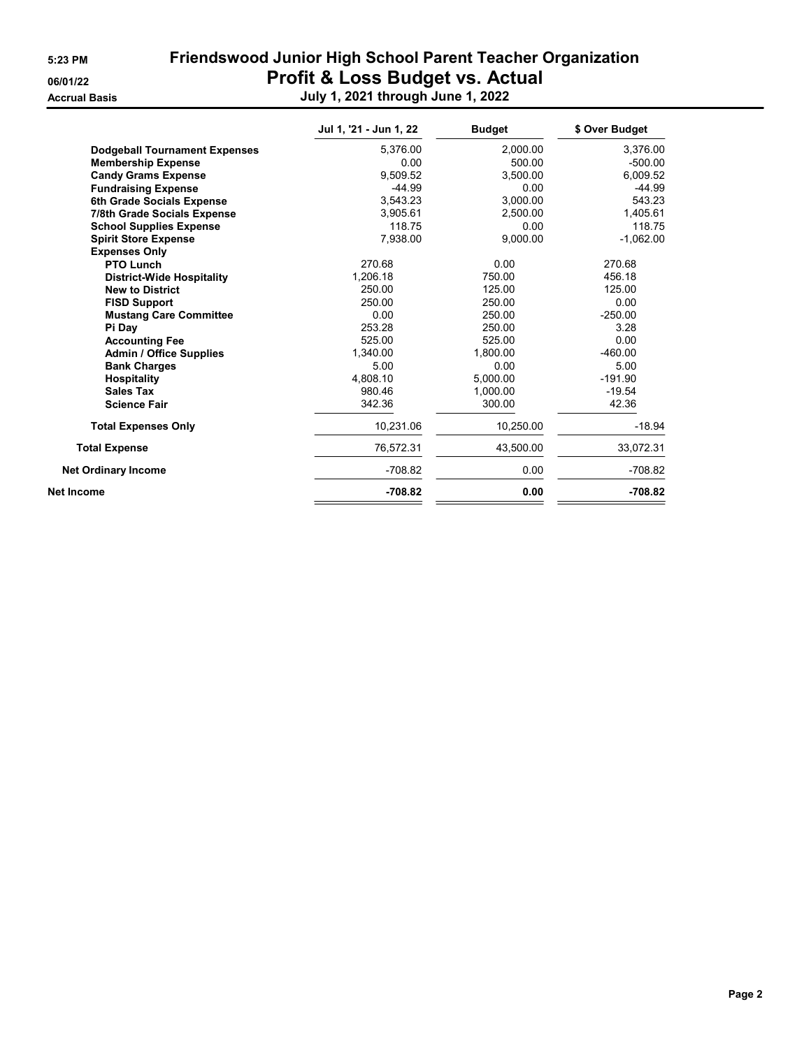| 5:23 PM |  |
|---------|--|
|         |  |

Friendswood Junior High School Parent Teacher Organization 06/01/22 **Profit & Loss Budget vs. Actual** Accrual Basis July 1, 2021 through June 1, 2022

|                                      | Jul 1, '21 - Jun 1, 22 | <b>Budget</b> | \$ Over Budget |
|--------------------------------------|------------------------|---------------|----------------|
| <b>Dodgeball Tournament Expenses</b> | 5.376.00               | 2.000.00      | 3,376.00       |
| <b>Membership Expense</b>            | 0.00                   | 500.00        | $-500.00$      |
| <b>Candy Grams Expense</b>           | 9.509.52               | 3.500.00      | 6.009.52       |
| <b>Fundraising Expense</b>           | $-44.99$               | 0.00          | $-44.99$       |
| 6th Grade Socials Expense            | 3.543.23               | 3.000.00      | 543.23         |
| 7/8th Grade Socials Expense          | 3.905.61               | 2,500.00      | 1,405.61       |
| <b>School Supplies Expense</b>       | 118.75                 | 0.00          | 118.75         |
| <b>Spirit Store Expense</b>          | 7,938.00               | 9.000.00      | $-1,062.00$    |
| <b>Expenses Only</b>                 |                        |               |                |
| <b>PTO Lunch</b>                     | 270.68                 | 0.00          | 270.68         |
| <b>District-Wide Hospitality</b>     | 1.206.18               | 750.00        | 456.18         |
| <b>New to District</b>               | 250.00<br>125.00       |               | 125.00         |
| <b>FISD Support</b>                  | 250.00                 | 250.00        | 0.00           |
| <b>Mustang Care Committee</b>        | 0.00                   | 250.00        | $-250.00$      |
| Pi Day                               | 253.28                 | 250.00        | 3.28           |
| <b>Accounting Fee</b>                | 525.00                 | 525.00        | 0.00           |
| <b>Admin / Office Supplies</b>       | 1,340.00               | 1,800.00      | $-460.00$      |
| <b>Bank Charges</b>                  | 5.00                   | 0.00          | 5.00           |
| <b>Hospitality</b>                   | 4,808.10               | 5,000.00      | $-191.90$      |
| <b>Sales Tax</b>                     | 980.46                 | 1,000.00      | $-19.54$       |
| <b>Science Fair</b>                  | 342.36                 | 300.00        | 42.36          |
| <b>Total Expenses Only</b>           | 10,231.06              | 10.250.00     | $-18.94$       |
| <b>Total Expense</b>                 | 76,572.31              | 43.500.00     | 33,072.31      |
| <b>Net Ordinary Income</b>           | $-708.82$              | 0.00          | $-708.82$      |
| Net Income                           | $-708.82$              | 0.00          | $-708.82$      |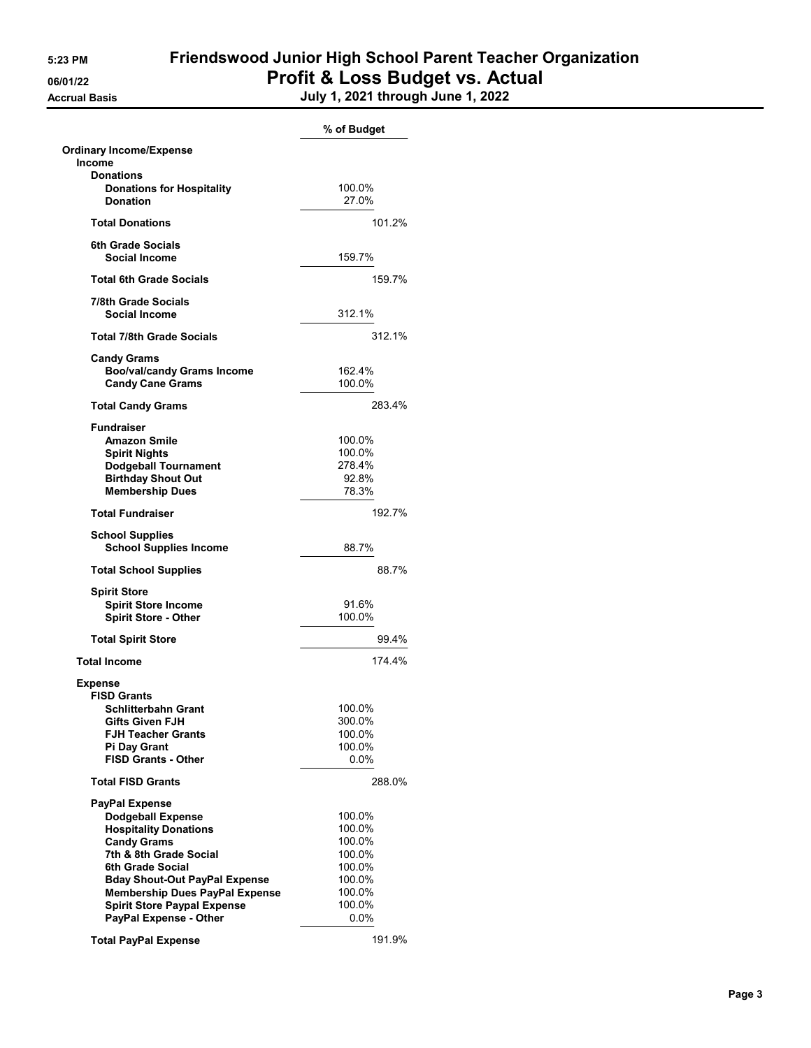**Accrual Basis** 

## 5:23 PM Friendswood Junior High School Parent Teacher Organization 06/01/22 Profit & Loss Budget vs. Actual

| July 1, 2021 through June 1, 2022 |  |  |  |
|-----------------------------------|--|--|--|
|-----------------------------------|--|--|--|

|                                                                         | % of Budget      |
|-------------------------------------------------------------------------|------------------|
| <b>Ordinary Income/Expense</b><br><b>Income</b>                         |                  |
| <b>Donations</b><br><b>Donations for Hospitality</b><br><b>Donation</b> | 100.0%<br>27.0%  |
| <b>Total Donations</b>                                                  | 101.2%           |
|                                                                         |                  |
| 6th Grade Socials<br><b>Social Income</b>                               | 159.7%           |
| <b>Total 6th Grade Socials</b>                                          | 159.7%           |
| 7/8th Grade Socials<br>Social Income                                    | 312.1%           |
| Total 7/8th Grade Socials                                               | 312.1%           |
| Candy Grams                                                             |                  |
| <b>Boo/val/candy Grams Income</b><br><b>Candy Cane Grams</b>            | 162.4%<br>100.0% |
| <b>Total Candy Grams</b>                                                | 283.4%           |
| <b>Fundraiser</b>                                                       |                  |
| <b>Amazon Smile</b>                                                     | 100.0%           |
| <b>Spirit Nights</b>                                                    | 100.0%           |
| <b>Dodgeball Tournament</b>                                             | 278.4%           |
| <b>Birthday Shout Out</b><br><b>Membership Dues</b>                     | 92.8%<br>78.3%   |
| <b>Total Fundraiser</b>                                                 | 192.7%           |
|                                                                         |                  |
| <b>School Supplies</b><br><b>School Supplies Income</b>                 | 88.7%            |
| <b>Total School Supplies</b>                                            | 88.7%            |
| <b>Spirit Store</b>                                                     |                  |
| <b>Spirit Store Income</b>                                              | 91.6%            |
| Spirit Store - Other                                                    | 100.0%           |
| <b>Total Spirit Store</b>                                               | 99.4%            |
| <b>Total Income</b>                                                     | 174.4%           |
| <b>Expense</b>                                                          |                  |
| <b>FISD Grants</b>                                                      |                  |
| Schlitterbahn Grant<br><b>Gifts Given FJH</b>                           | 100.0%           |
| <b>FJH Teacher Grants</b>                                               | 300.0%<br>100.0% |
| Pi Day Grant                                                            | 100.0%           |
| <b>FISD Grants - Other</b>                                              | $0.0\%$          |
| <b>Total FISD Grants</b>                                                | 288.0%           |
| <b>PayPal Expense</b>                                                   |                  |
| <b>Dodgeball Expense</b>                                                | 100.0%           |
| <b>Hospitality Donations</b>                                            | 100.0%           |
| <b>Candy Grams</b>                                                      | 100.0%           |
| 7th & 8th Grade Social                                                  | 100.0%           |
| 6th Grade Social                                                        | 100.0%           |
| <b>Bday Shout-Out PayPal Expense</b>                                    | 100.0%           |
| <b>Membership Dues PayPal Expense</b>                                   | 100.0%           |
| <b>Spirit Store Paypal Expense</b>                                      | 100.0%           |
| PayPal Expense - Other                                                  | $0.0\%$          |
| <b>Total PayPal Expense</b>                                             | 191.9%           |
|                                                                         |                  |